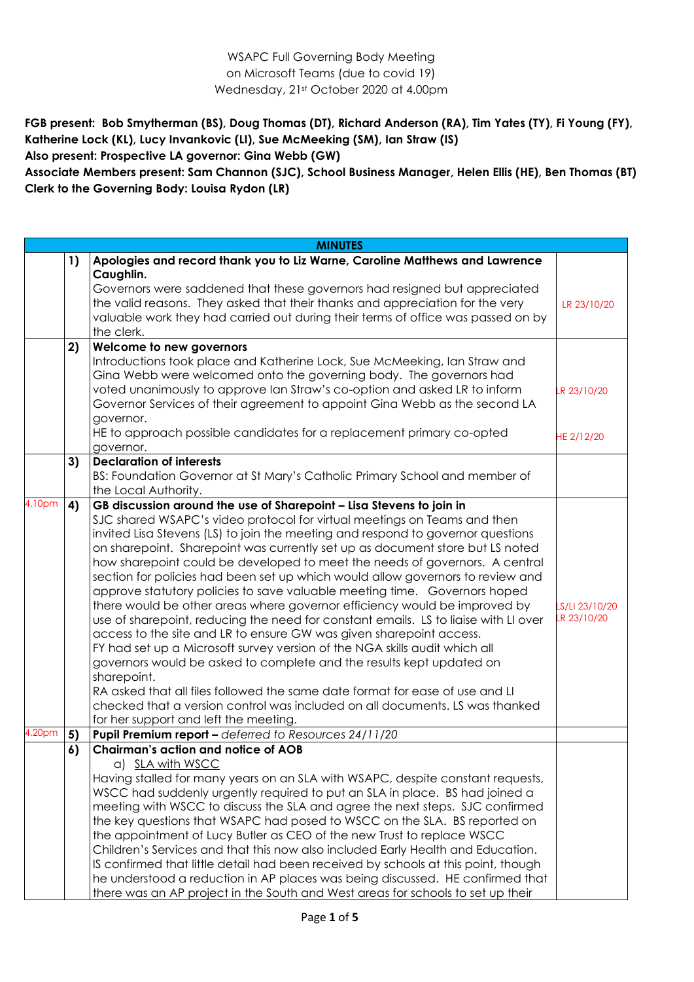WSAPC Full Governing Body Meeting on Microsoft Teams (due to covid 19) Wednesday, 21st October 2020 at 4.00pm

**FGB present: Bob Smytherman (BS), Doug Thomas (DT), Richard Anderson (RA), Tim Yates (TY), Fi Young (FY), Katherine Lock (KL), Lucy Invankovic (LI), Sue McMeeking (SM), Ian Straw (IS) Also present: Prospective LA governor: Gina Webb (GW)**

**Associate Members present: Sam Channon (SJC), School Business Manager, Helen Ellis (HE), Ben Thomas (BT) Clerk to the Governing Body: Louisa Rydon (LR)**

|        |    | <b>MINUTES</b>                                                                                                                                                                                                                                                                                                                                                                                                                                                                                                                                                                                                                                                                                                                                                                                                                                                                                                                                                                                                                                                                                                                                                                              |                               |
|--------|----|---------------------------------------------------------------------------------------------------------------------------------------------------------------------------------------------------------------------------------------------------------------------------------------------------------------------------------------------------------------------------------------------------------------------------------------------------------------------------------------------------------------------------------------------------------------------------------------------------------------------------------------------------------------------------------------------------------------------------------------------------------------------------------------------------------------------------------------------------------------------------------------------------------------------------------------------------------------------------------------------------------------------------------------------------------------------------------------------------------------------------------------------------------------------------------------------|-------------------------------|
|        | 1) | Apologies and record thank you to Liz Warne, Caroline Matthews and Lawrence<br>Caughlin.                                                                                                                                                                                                                                                                                                                                                                                                                                                                                                                                                                                                                                                                                                                                                                                                                                                                                                                                                                                                                                                                                                    |                               |
|        |    | Governors were saddened that these governors had resigned but appreciated<br>the valid reasons. They asked that their thanks and appreciation for the very<br>valuable work they had carried out during their terms of office was passed on by<br>the clerk.                                                                                                                                                                                                                                                                                                                                                                                                                                                                                                                                                                                                                                                                                                                                                                                                                                                                                                                                | LR 23/10/20                   |
|        | 2) | Welcome to new governors                                                                                                                                                                                                                                                                                                                                                                                                                                                                                                                                                                                                                                                                                                                                                                                                                                                                                                                                                                                                                                                                                                                                                                    |                               |
|        |    | Introductions took place and Katherine Lock, Sue McMeeking, Ian Straw and<br>Gina Webb were welcomed onto the governing body. The governors had<br>voted unanimously to approve Ian Straw's co-option and asked LR to inform<br>Governor Services of their agreement to appoint Gina Webb as the second LA<br>governor.<br>HE to approach possible candidates for a replacement primary co-opted                                                                                                                                                                                                                                                                                                                                                                                                                                                                                                                                                                                                                                                                                                                                                                                            | LR 23/10/20                   |
|        |    | governor.                                                                                                                                                                                                                                                                                                                                                                                                                                                                                                                                                                                                                                                                                                                                                                                                                                                                                                                                                                                                                                                                                                                                                                                   | HE 2/12/20                    |
|        | 3) | <b>Declaration of interests</b><br>BS: Foundation Governor at St Mary's Catholic Primary School and member of<br>the Local Authority.                                                                                                                                                                                                                                                                                                                                                                                                                                                                                                                                                                                                                                                                                                                                                                                                                                                                                                                                                                                                                                                       |                               |
| 4.10pm | 4) | GB discussion around the use of Sharepoint - Lisa Stevens to join in<br>SJC shared WSAPC's video protocol for virtual meetings on Teams and then<br>invited Lisa Stevens (LS) to join the meeting and respond to governor questions<br>on sharepoint. Sharepoint was currently set up as document store but LS noted<br>how sharepoint could be developed to meet the needs of governors. A central<br>section for policies had been set up which would allow governors to review and<br>approve statutory policies to save valuable meeting time. Governors hoped<br>there would be other areas where governor efficiency would be improved by<br>use of sharepoint, reducing the need for constant emails. LS to liaise with LI over<br>access to the site and LR to ensure GW was given sharepoint access.<br>FY had set up a Microsoft survey version of the NGA skills audit which all<br>governors would be asked to complete and the results kept updated on<br>sharepoint.<br>RA asked that all files followed the same date format for ease of use and LI<br>checked that a version control was included on all documents. LS was thanked<br>for her support and left the meeting. | LS/LI 23/10/20<br>LR 23/10/20 |
| 4.20pm | 5) | Pupil Premium report - deferred to Resources 24/11/20                                                                                                                                                                                                                                                                                                                                                                                                                                                                                                                                                                                                                                                                                                                                                                                                                                                                                                                                                                                                                                                                                                                                       |                               |
|        | 6) | <b>Chairman's action and notice of AOB</b><br>a) SLA with WSCC<br>Having stalled for many years on an SLA with WSAPC, despite constant requests,<br>WSCC had suddenly urgently required to put an SLA in place. BS had joined a<br>meeting with WSCC to discuss the SLA and agree the next steps. SJC confirmed<br>the key questions that WSAPC had posed to WSCC on the SLA. BS reported on<br>the appointment of Lucy Butler as CEO of the new Trust to replace WSCC<br>Children's Services and that this now also included Early Health and Education.<br>IS confirmed that little detail had been received by schools at this point, though<br>he understood a reduction in AP places was being discussed. HE confirmed that<br>there was an AP project in the South and West areas for schools to set up their                                                                                                                                                                                                                                                                                                                                                                         |                               |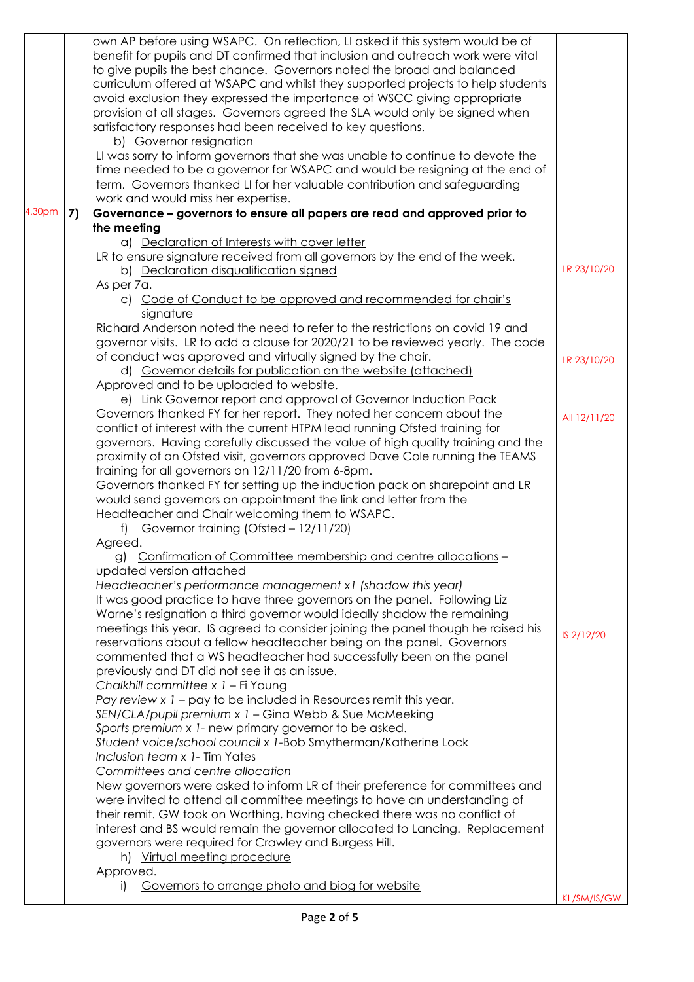|                    |    | own AP before using WSAPC. On reflection, LI asked if this system would be of                                                     |              |
|--------------------|----|-----------------------------------------------------------------------------------------------------------------------------------|--------------|
|                    |    | benefit for pupils and DT confirmed that inclusion and outreach work were vital                                                   |              |
|                    |    | to give pupils the best chance. Governors noted the broad and balanced                                                            |              |
|                    |    | curriculum offered at WSAPC and whilst they supported projects to help students                                                   |              |
|                    |    | avoid exclusion they expressed the importance of WSCC giving appropriate                                                          |              |
|                    |    | provision at all stages. Governors agreed the SLA would only be signed when                                                       |              |
|                    |    | satisfactory responses had been received to key questions.                                                                        |              |
|                    |    | b) Governor resignation                                                                                                           |              |
|                    |    | LI was sorry to inform governors that she was unable to continue to devote the                                                    |              |
|                    |    | time needed to be a governor for WSAPC and would be resigning at the end of                                                       |              |
|                    |    | term. Governors thanked LI for her valuable contribution and safeguarding                                                         |              |
|                    |    | work and would miss her expertise.                                                                                                |              |
| 4.30 <sub>pm</sub> | 7) | Governance - governors to ensure all papers are read and approved prior to                                                        |              |
|                    |    | the meeting                                                                                                                       |              |
|                    |    | a) Declaration of Interests with cover letter                                                                                     |              |
|                    |    | LR to ensure signature received from all governors by the end of the week.                                                        |              |
|                    |    | b) Declaration disqualification signed                                                                                            | LR 23/10/20  |
|                    |    | As per 7a.                                                                                                                        |              |
|                    |    | c) Code of Conduct to be approved and recommended for chair's                                                                     |              |
|                    |    | signature                                                                                                                         |              |
|                    |    | Richard Anderson noted the need to refer to the restrictions on covid 19 and                                                      |              |
|                    |    | governor visits. LR to add a clause for 2020/21 to be reviewed yearly. The code                                                   |              |
|                    |    | of conduct was approved and virtually signed by the chair.                                                                        |              |
|                    |    | d) Governor details for publication on the website (attached)                                                                     | LR 23/10/20  |
|                    |    | Approved and to be uploaded to website.                                                                                           |              |
|                    |    |                                                                                                                                   |              |
|                    |    | e) Link Governor report and approval of Governor Induction Pack                                                                   |              |
|                    |    | Governors thanked FY for her report. They noted her concern about the                                                             | All 12/11/20 |
|                    |    | conflict of interest with the current HTPM lead running Ofsted training for                                                       |              |
|                    |    | governors. Having carefully discussed the value of high quality training and the                                                  |              |
|                    |    | proximity of an Ofsted visit, governors approved Dave Cole running the TEAMS                                                      |              |
|                    |    | training for all governors on 12/11/20 from 6-8pm.<br>Governors thanked FY for setting up the induction pack on sharepoint and LR |              |
|                    |    | would send governors on appointment the link and letter from the                                                                  |              |
|                    |    | Headteacher and Chair welcoming them to WSAPC.                                                                                    |              |
|                    |    | f) Governor training (Ofsted - 12/11/20)                                                                                          |              |
|                    |    | Agreed.                                                                                                                           |              |
|                    |    | g) Confirmation of Committee membership and centre allocations                                                                    |              |
|                    |    | updated version attached                                                                                                          |              |
|                    |    | Headteacher's performance management x1 (shadow this year)                                                                        |              |
|                    |    | It was good practice to have three governors on the panel. Following Liz                                                          |              |
|                    |    | Warne's resignation a third governor would ideally shadow the remaining                                                           |              |
|                    |    | meetings this year. IS agreed to consider joining the panel though he raised his                                                  |              |
|                    |    | reservations about a fellow headteacher being on the panel. Governors                                                             | IS 2/12/20   |
|                    |    | commented that a WS headteacher had successfully been on the panel                                                                |              |
|                    |    | previously and DT did not see it as an issue.                                                                                     |              |
|                    |    | Chalkhill committee x 1 - Fi Young                                                                                                |              |
|                    |    | Pay review x 1 - pay to be included in Resources remit this year.                                                                 |              |
|                    |    | SEN/CLA/pupil premium x 1 - Gina Webb & Sue McMeeking                                                                             |              |
|                    |    | Sports premium x 1- new primary governor to be asked.                                                                             |              |
|                    |    | Student voice/school council x 1-Bob Smytherman/Katherine Lock                                                                    |              |
|                    |    | Inclusion team x 1- Tim Yates                                                                                                     |              |
|                    |    | Committees and centre allocation                                                                                                  |              |
|                    |    | New governors were asked to inform LR of their preference for committees and                                                      |              |
|                    |    | were invited to attend all committee meetings to have an understanding of                                                         |              |
|                    |    | their remit. GW took on Worthing, having checked there was no conflict of                                                         |              |
|                    |    | interest and BS would remain the governor allocated to Lancing. Replacement                                                       |              |
|                    |    | governors were required for Crawley and Burgess Hill.                                                                             |              |
|                    |    | h) Virtual meeting procedure                                                                                                      |              |
|                    |    | Approved.                                                                                                                         |              |
|                    |    | Governors to arrange photo and biog for website<br>$\Box$                                                                         |              |
|                    |    |                                                                                                                                   | KL/SM/IS/GW  |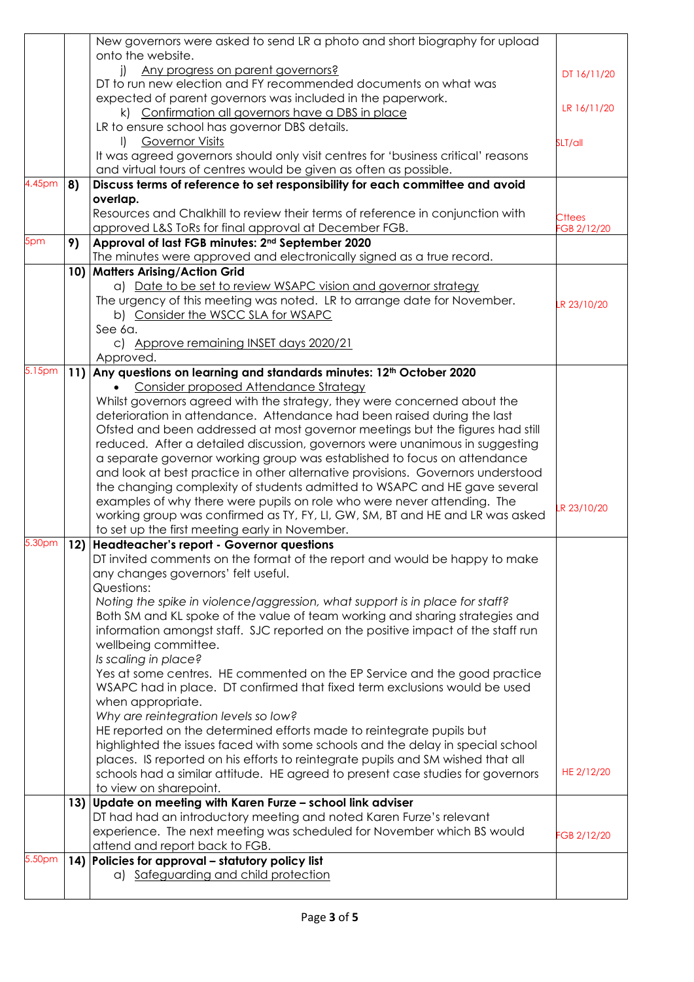|        |     | New governors were asked to send LR a photo and short biography for upload                      |               |
|--------|-----|-------------------------------------------------------------------------------------------------|---------------|
|        |     | onto the website.                                                                               |               |
|        |     | Any progress on parent governors?<br>$\mathbf{I}$                                               | DT 16/11/20   |
|        |     | DT to run new election and FY recommended documents on what was                                 |               |
|        |     | expected of parent governors was included in the paperwork.                                     |               |
|        |     | k) Confirmation all governors have a DBS in place                                               | LR 16/11/20   |
|        |     | LR to ensure school has governor DBS details.                                                   |               |
|        |     | <b>Governor Visits</b><br>$\mathbf{D}$                                                          | SLT/all       |
|        |     | It was agreed governors should only visit centres for 'business critical' reasons               |               |
|        |     | and virtual tours of centres would be given as often as possible.                               |               |
| 4.45pm | 8)  | Discuss terms of reference to set responsibility for each committee and avoid                   |               |
|        |     | overlap.                                                                                        |               |
|        |     | Resources and Chalkhill to review their terms of reference in conjunction with                  | <b>Cttees</b> |
|        |     | approved L&S ToRs for final approval at December FGB.                                           | FGB 2/12/20   |
| 5pm    | 9)  | Approval of last FGB minutes: 2 <sup>nd</sup> September 2020                                    |               |
|        |     | The minutes were approved and electronically signed as a true record.                           |               |
|        |     | 10) Matters Arising/Action Grid                                                                 |               |
|        |     | a) Date to be set to review WSAPC vision and governor strategy                                  |               |
|        |     | The urgency of this meeting was noted. LR to arrange date for November.                         |               |
|        |     | b) Consider the WSCC SLA for WSAPC                                                              | LR 23/10/20   |
|        |     | See 6a.                                                                                         |               |
|        |     | c) Approve remaining INSET days 2020/21                                                         |               |
|        |     |                                                                                                 |               |
| 5.15pm |     | Approved.<br>11) Any questions on learning and standards minutes: 12 <sup>th</sup> October 2020 |               |
|        |     | Consider proposed Attendance Strategy                                                           |               |
|        |     |                                                                                                 |               |
|        |     | Whilst governors agreed with the strategy, they were concerned about the                        |               |
|        |     | deterioration in attendance. Attendance had been raised during the last                         |               |
|        |     | Ofsted and been addressed at most governor meetings but the figures had still                   |               |
|        |     | reduced. After a detailed discussion, governors were unanimous in suggesting                    |               |
|        |     | a separate governor working group was established to focus on attendance                        |               |
|        |     | and look at best practice in other alternative provisions. Governors understood                 |               |
|        |     | the changing complexity of students admitted to WSAPC and HE gave several                       |               |
|        |     | examples of why there were pupils on role who were never attending. The                         | LR 23/10/20   |
|        |     | working group was confirmed as TY, FY, LI, GW, SM, BT and HE and LR was asked                   |               |
|        |     | to set up the first meeting early in November.                                                  |               |
| 5.30pm | 12) | <b>Headteacher's report - Governor questions</b>                                                |               |
|        |     | DT invited comments on the format of the report and would be happy to make                      |               |
|        |     | any changes governors' felt useful.                                                             |               |
|        |     | Questions:                                                                                      |               |
|        |     | Noting the spike in violence/aggression, what support is in place for staff?                    |               |
|        |     | Both SM and KL spoke of the value of team working and sharing strategies and                    |               |
|        |     | information amongst staff. SJC reported on the positive impact of the staff run                 |               |
|        |     | wellbeing committee.                                                                            |               |
|        |     | Is scaling in place?                                                                            |               |
|        |     | Yes at some centres. HE commented on the EP Service and the good practice                       |               |
|        |     | WSAPC had in place. DT confirmed that fixed term exclusions would be used                       |               |
|        |     | when appropriate.                                                                               |               |
|        |     | Why are reintegration levels so low?                                                            |               |
|        |     | HE reported on the determined efforts made to reintegrate pupils but                            |               |
|        |     | highlighted the issues faced with some schools and the delay in special school                  |               |
|        |     | places. IS reported on his efforts to reintegrate pupils and SM wished that all                 |               |
|        |     | schools had a similar attitude. HE agreed to present case studies for governors                 | HE 2/12/20    |
|        |     | to view on sharepoint.                                                                          |               |
|        |     | 13) Update on meeting with Karen Furze - school link adviser                                    |               |
|        |     | DT had had an introductory meeting and noted Karen Furze's relevant                             |               |
|        |     | experience. The next meeting was scheduled for November which BS would                          |               |
|        |     | attend and report back to FGB.                                                                  | FGB 2/12/20   |
| 5.50pm |     | 14) Policies for approval – statutory policy list                                               |               |
|        |     | a) Safeguarding and child protection                                                            |               |
|        |     |                                                                                                 |               |
|        |     |                                                                                                 |               |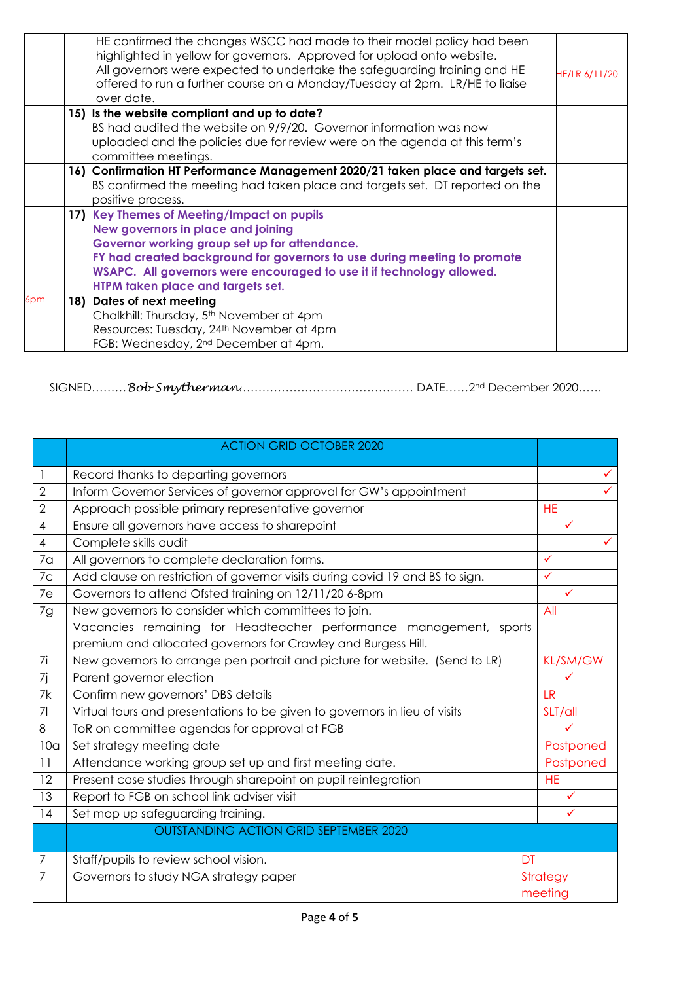|     |     | HE confirmed the changes WSCC had made to their model policy had been<br>highlighted in yellow for governors. Approved for upload onto website.<br>All governors were expected to undertake the safeguarding training and HE<br>offered to run a further course on a Monday/Tuesday at 2pm. LR/HE to liaise<br>over date.   | HE/LR 6/11/20 |
|-----|-----|-----------------------------------------------------------------------------------------------------------------------------------------------------------------------------------------------------------------------------------------------------------------------------------------------------------------------------|---------------|
|     |     | 15) Is the website compliant and up to date?<br>BS had audited the website on 9/9/20. Governor information was now<br>uploaded and the policies due for review were on the agenda at this term's<br>committee meetings.                                                                                                     |               |
|     |     | 16) Confirmation HT Performance Management 2020/21 taken place and targets set.<br>BS confirmed the meeting had taken place and targets set. DT reported on the<br>positive process.                                                                                                                                        |               |
|     |     | 17) Key Themes of Meeting/Impact on pupils<br>New governors in place and joining<br>Governor working group set up for attendance.<br>FY had created background for governors to use during meeting to promote<br>WSAPC. All governors were encouraged to use it if technology allowed.<br>HTPM taken place and targets set. |               |
| 6pm | 18) | Dates of next meeting<br>Chalkhill: Thursday, 5 <sup>th</sup> November at 4pm<br>Resources: Tuesday, 24 <sup>th</sup> November at 4pm<br>FGB: Wednesday, 2 <sup>nd</sup> December at 4pm.                                                                                                                                   |               |

SIGNED………*Bob Smytherman*……………………………………… DATE……2nd December 2020……

|                 | <b>ACTION GRID OCTOBER 2020</b>                                              |    |                 |
|-----------------|------------------------------------------------------------------------------|----|-----------------|
| -1              | Record thanks to departing governors                                         |    |                 |
| $\mathbf{2}$    | Inform Governor Services of governor approval for GW's appointment           |    |                 |
| $\overline{2}$  | Approach possible primary representative governor                            |    |                 |
| $\overline{4}$  | Ensure all governors have access to sharepoint                               |    | ✓               |
| $\overline{4}$  | Complete skills audit                                                        |    |                 |
| 7 <sub>a</sub>  | All governors to complete declaration forms.                                 |    | $\checkmark$    |
| 7c              | Add clause on restriction of governor visits during covid 19 and BS to sign. |    | ✓               |
| 7e              | Governors to attend Ofsted training on 12/11/20 6-8pm                        |    |                 |
| 7g              | New governors to consider which committees to join.                          |    | All             |
|                 | Vacancies remaining for Headteacher performance management, sports           |    |                 |
|                 | premium and allocated governors for Crawley and Burgess Hill.                |    |                 |
| 7i              | New governors to arrange pen portrait and picture for website. (Send to LR)  |    | <b>KL/SM/GW</b> |
| 7j              | Parent governor election                                                     |    | ✓               |
| 7k              | Confirm new governors' DBS details                                           |    | <b>LR</b>       |
| 7 <sup>1</sup>  | Virtual tours and presentations to be given to governors in lieu of visits   |    | SLT/all         |
| 8               | ToR on committee agendas for approval at FGB                                 |    |                 |
| 10 <sub>a</sub> | Set strategy meeting date                                                    |    | Postponed       |
| 11              | Attendance working group set up and first meeting date.                      |    | Postponed       |
| 12              | Present case studies through sharepoint on pupil reintegration               |    | <b>HE</b>       |
| 13              | Report to FGB on school link adviser visit                                   |    | ✓               |
| 14              | Set mop up safeguarding training.                                            |    | ✓               |
|                 | <b>OUTSTANDING ACTION GRID SEPTEMBER 2020</b>                                |    |                 |
| 7               | Staff/pupils to review school vision.                                        | DT |                 |
| 7               | Governors to study NGA strategy paper                                        |    | Strategy        |
|                 |                                                                              |    | meeting         |